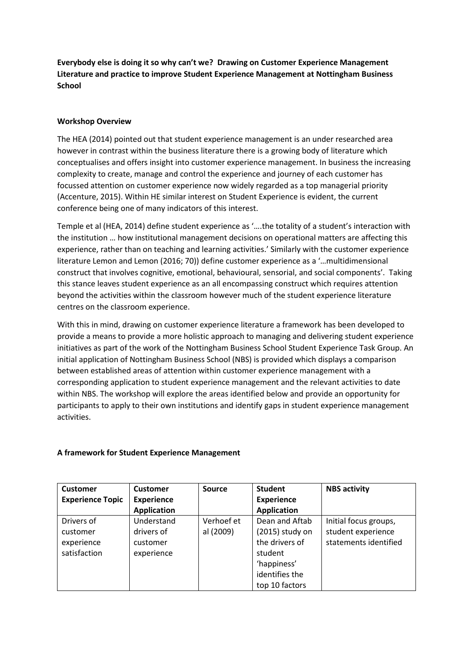**Everybody else is doing it so why can't we? Drawing on Customer Experience Management Literature and practice to improve Student Experience Management at Nottingham Business School**

# **Workshop Overview**

The HEA (2014) pointed out that student experience management is an under researched area however in contrast within the business literature there is a growing body of literature which conceptualises and offers insight into customer experience management. In business the increasing complexity to create, manage and control the experience and journey of each customer has focussed attention on customer experience now widely regarded as a top managerial priority (Accenture, 2015). Within HE similar interest on Student Experience is evident, the current conference being one of many indicators of this interest.

Temple et al (HEA, 2014) define student experience as '….the totality of a student's interaction with the institution … how institutional management decisions on operational matters are affecting this experience, rather than on teaching and learning activities.' Similarly with the customer experience literature Lemon and Lemon (2016; 70)) define customer experience as a '…multidimensional construct that involves cognitive, emotional, behavioural, sensorial, and social components'. Taking this stance leaves student experience as an all encompassing construct which requires attention beyond the activities within the classroom however much of the student experience literature centres on the classroom experience.

With this in mind, drawing on customer experience literature a framework has been developed to provide a means to provide a more holistic approach to managing and delivering student experience initiatives as part of the work of the Nottingham Business School Student Experience Task Group. An initial application of Nottingham Business School (NBS) is provided which displays a comparison between established areas of attention within customer experience management with a corresponding application to student experience management and the relevant activities to date within NBS. The workshop will explore the areas identified below and provide an opportunity for participants to apply to their own institutions and identify gaps in student experience management activities.

# **A framework for Student Experience Management**

| <b>Customer</b>         | <b>Customer</b>    | Source     | <b>Student</b>     | <b>NBS activity</b>   |
|-------------------------|--------------------|------------|--------------------|-----------------------|
| <b>Experience Topic</b> | <b>Experience</b>  |            | <b>Experience</b>  |                       |
|                         | <b>Application</b> |            | <b>Application</b> |                       |
| Drivers of              | Understand         | Verhoef et | Dean and Aftab     | Initial focus groups, |
| customer                | drivers of         | al (2009)  | (2015) study on    | student experience    |
| experience              | customer           |            | the drivers of     | statements identified |
| satisfaction            | experience         |            | student            |                       |
|                         |                    |            | 'happiness'        |                       |
|                         |                    |            | identifies the     |                       |
|                         |                    |            | top 10 factors     |                       |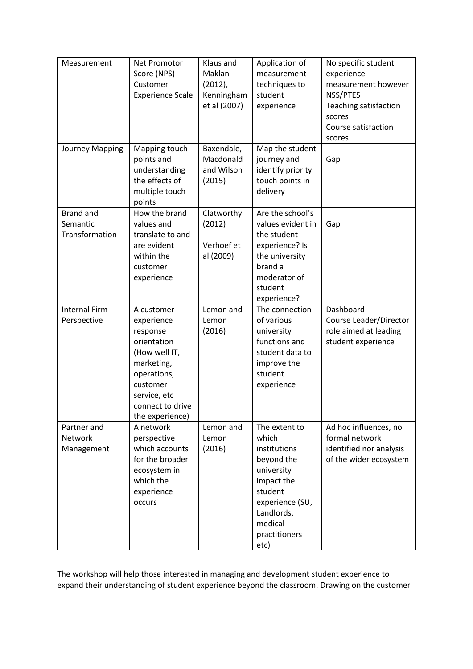| Measurement                                    | Net Promotor<br>Score (NPS)<br>Customer<br><b>Experience Scale</b>                                                                                                   | Klaus and<br>Maklan<br>$(2012)$ ,<br>Kenningham<br>et al (2007) | Application of<br>measurement<br>techniques to<br>student<br>experience                                                                                          | No specific student<br>experience<br>measurement however<br>NSS/PTES<br>Teaching satisfaction<br>scores<br>Course satisfaction<br>scores |
|------------------------------------------------|----------------------------------------------------------------------------------------------------------------------------------------------------------------------|-----------------------------------------------------------------|------------------------------------------------------------------------------------------------------------------------------------------------------------------|------------------------------------------------------------------------------------------------------------------------------------------|
| Journey Mapping                                | Mapping touch<br>points and<br>understanding<br>the effects of<br>multiple touch<br>points                                                                           | Baxendale,<br>Macdonald<br>and Wilson<br>(2015)                 | Map the student<br>journey and<br>identify priority<br>touch points in<br>delivery                                                                               | Gap                                                                                                                                      |
| <b>Brand and</b><br>Semantic<br>Transformation | How the brand<br>values and<br>translate to and<br>are evident<br>within the<br>customer<br>experience                                                               | Clatworthy<br>(2012)<br>Verhoef et<br>al (2009)                 | Are the school's<br>values evident in<br>the student<br>experience? Is<br>the university<br>brand a<br>moderator of<br>student<br>experience?                    | Gap                                                                                                                                      |
| <b>Internal Firm</b><br>Perspective            | A customer<br>experience<br>response<br>orientation<br>(How well IT,<br>marketing,<br>operations,<br>customer<br>service, etc<br>connect to drive<br>the experience) | Lemon and<br>Lemon<br>(2016)                                    | The connection<br>of various<br>university<br>functions and<br>student data to<br>improve the<br>student<br>experience                                           | Dashboard<br>Course Leader/Director<br>role aimed at leading<br>student experience                                                       |
| Partner and<br><b>Network</b><br>Management    | A network<br>perspective<br>which accounts<br>for the broader<br>ecosystem in<br>which the<br>experience<br>occurs                                                   | Lemon and<br>Lemon<br>(2016)                                    | The extent to<br>which<br>institutions<br>beyond the<br>university<br>impact the<br>student<br>experience (SU,<br>Landlords,<br>medical<br>practitioners<br>etc) | Ad hoc influences, no<br>formal network<br>identified nor analysis<br>of the wider ecosystem                                             |

The workshop will help those interested in managing and development student experience to expand their understanding of student experience beyond the classroom. Drawing on the customer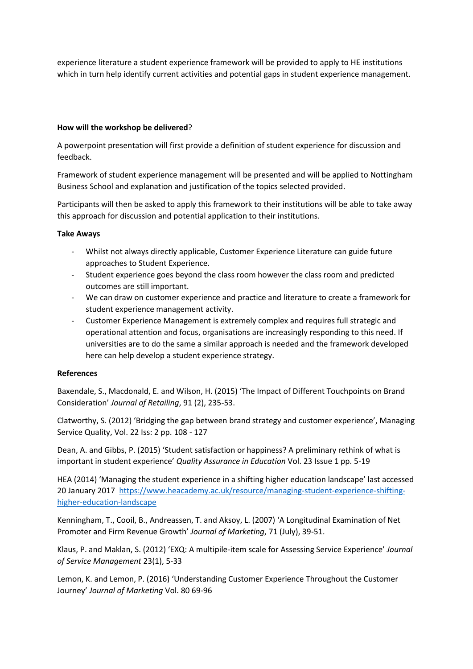experience literature a student experience framework will be provided to apply to HE institutions which in turn help identify current activities and potential gaps in student experience management.

# **How will the workshop be delivered**?

A powerpoint presentation will first provide a definition of student experience for discussion and feedback.

Framework of student experience management will be presented and will be applied to Nottingham Business School and explanation and justification of the topics selected provided.

Participants will then be asked to apply this framework to their institutions will be able to take away this approach for discussion and potential application to their institutions.

# **Take Aways**

- Whilst not always directly applicable, Customer Experience Literature can guide future approaches to Student Experience.
- Student experience goes beyond the class room however the class room and predicted outcomes are still important.
- We can draw on customer experience and practice and literature to create a framework for student experience management activity.
- Customer Experience Management is extremely complex and requires full strategic and operational attention and focus, organisations are increasingly responding to this need. If universities are to do the same a similar approach is needed and the framework developed here can help develop a student experience strategy.

# **References**

Baxendale, S., Macdonald, E. and Wilson, H. (2015) 'The Impact of Different Touchpoints on Brand Consideration' *Journal of Retailing*, 91 (2), 235-53.

Clatworthy, S. (2012) 'Bridging the gap between brand strategy and customer experience', Managing Service Quality, Vol. 22 Iss: 2 pp. 108 - 127

Dean, A. and Gibbs, P. (2015) 'Student satisfaction or happiness? A preliminary rethink of what is important in student experience' *Quality Assurance in Education* Vol. 23 Issue 1 pp. 5-19

HEA (2014) 'Managing the student experience in a shifting higher education landscape' last accessed 20 January 2017 [https://www.heacademy.ac.uk/resource/managing-student-experience-shifting](https://www.heacademy.ac.uk/resource/managing-student-experience-shifting-higher-education-landscape)[higher-education-landscape](https://www.heacademy.ac.uk/resource/managing-student-experience-shifting-higher-education-landscape)

Kenningham, T., Cooil, B., Andreassen, T. and Aksoy, L. (2007) 'A Longitudinal Examination of Net Promoter and Firm Revenue Growth' *Journal of Marketing*, 71 (July), 39-51.

Klaus, P. and Maklan, S. (2012) 'EXQ: A multipile-item scale for Assessing Service Experience' *Journal of Service Management* 23(1), 5-33

Lemon, K. and Lemon, P. (2016) 'Understanding Customer Experience Throughout the Customer Journey' *Journal of Marketing* Vol. 80 69-96